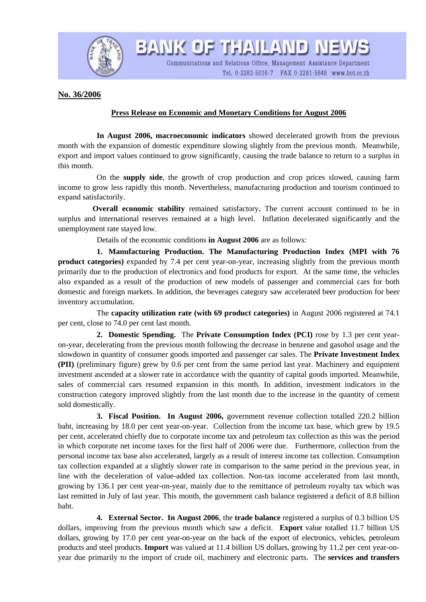

BANK OF THAILAND NEWS

Communications and Relations Office, Management Assistance Department Tel. 0-2283-5016-7 FAX 0-2281-5648 www.bot.or.th

**No. 36/2006**

## **Press Release on Economic and Monetary Conditions for August 2006**

 **In August 2006, macroeconomic indicators** showed decelerated growth from the previous month with the expansion of domestic expenditure slowing slightly from the previous month. Meanwhile, export and import values continued to grow significantly, causing the trade balance to return to a surplus in this month.

 On the **supply side**, the growth of crop production and crop prices slowed, causing farm income to grow less rapidly this month. Nevertheless, manufacturing production and tourism continued to expand satisfactorily.

**Overall economic stability** remained satisfactory. The current account continued to be in surplus and international reserves remained at a high level. Inflation decelerated significantly and the unemployment rate stayed low.

Details of the economic conditions **in August 2006** are as follows:

 **1. Manufacturing Production. The Manufacturing Production Index (MPI with 76 product categories)** expanded by 7.4 per cent year-on-year, increasing slightly from the previous month primarily due to the production of electronics and food products for export. At the same time, the vehicles also expanded as a result of the production of new models of passenger and commercial cars for both domestic and foreign markets. In addition, the beverages category saw accelerated beer production for beer inventory accumulation.

 The **capacity utilization rate (with 69 product categories)** in August 2006 registered at 74.1 per cent, close to 74.0 per cent last month.

**2. Domestic Spending.** The **Private Consumption Index (PCI)** rose by 1.3 per cent yearon-year, decelerating from the previous month following the decrease in benzene and gasohol usage and the slowdown in quantity of consumer goods imported and passenger car sales. The **Private Investment Index (PII)** (preliminary figure) grew by 0.6 per cent from the same period last year. Machinery and equipment investment ascended at a slower rate in accordance with the quantity of capital goods imported. Meanwhile, sales of commercial cars resumed expansion in this month. In addition, investment indicators in the construction category improved slightly from the last month due to the increase in the quantity of cement sold domestically.

**3. Fiscal Position. In August 2006,** government revenue collection totalled 220.2 billion baht, increasing by 18.0 per cent year-on-year. Collection from the income tax base, which grew by 19.5 per cent, accelerated chiefly due to corporate income tax and petroleum tax collection as this was the period in which corporate net income taxes for the first half of 2006 were due. Furthermore, collection from the personal income tax base also accelerated, largely as a result of interest income tax collection. Consumption tax collection expanded at a slightly slower rate in comparison to the same period in the previous year, in line with the deceleration of value-added tax collection. Non-tax income accelerated from last month, growing by 136.1 per cent year-on-year, mainly due to the remittance of petroleum royalty tax which was last remitted in July of last year. This month, the government cash balance registered a deficit of 8.8 billion baht.

 **4. External Sector. In August 2006**, the **trade balance** registered a surplus of 0.3 billion US dollars, improving from the previous month which saw a deficit. **Export** value totalled 11.7 billion US dollars, growing by 17.0 per cent year-on-year on the back of the export of electronics, vehicles, petroleum products and steel products. **Import** was valued at 11.4 billion US dollars, growing by 11.2 per cent year-onyear due primarily to the import of crude oil, machinery and electronic parts. The **services and transfers**